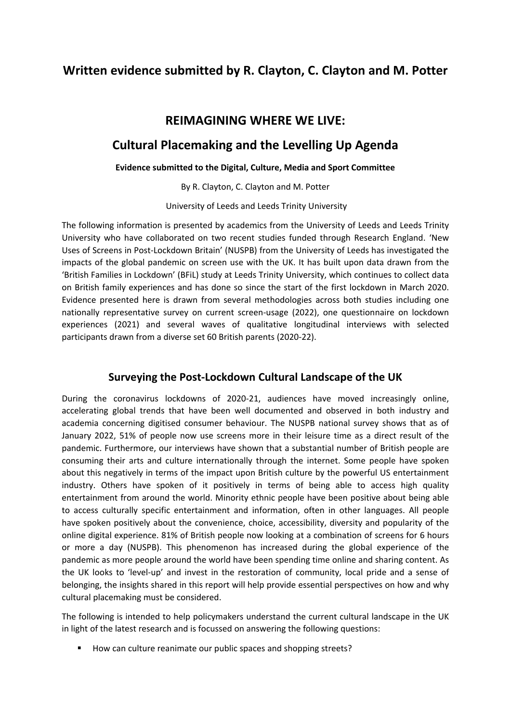# **Written evidence submitted by R. Clayton, C. Clayton and M. Potter**

## **REIMAGINING WHERE WE LIVE:**

## **Cultural Placemaking and the Levelling Up Agenda**

### **Evidence submitted to the Digital, Culture, Media and Sport Committee**

By R. Clayton, C. Clayton and M. Potter

University of Leeds and Leeds Trinity University

The following information is presented by academics from the University of Leeds and Leeds Trinity University who have collaborated on two recent studies funded through Research England. 'New Uses of Screens in Post-Lockdown Britain' (NUSPB) from the University of Leeds has investigated the impacts of the global pandemic on screen use with the UK. It has built upon data drawn from the 'British Families in Lockdown' (BFiL) study at Leeds Trinity University, which continues to collect data on British family experiences and has done so since the start of the first lockdown in March 2020. Evidence presented here is drawn from several methodologies across both studies including one nationally representative survey on current screen-usage (2022), one questionnaire on lockdown experiences (2021) and several waves of qualitative longitudinal interviews with selected participants drawn from a diverse set 60 British parents (2020-22).

## **Surveying the Post-Lockdown Cultural Landscape of the UK**

During the coronavirus lockdowns of 2020-21, audiences have moved increasingly online, accelerating global trends that have been well documented and observed in both industry and academia concerning digitised consumer behaviour. The NUSPB national survey shows that as of January 2022, 51% of people now use screens more in their leisure time as a direct result of the pandemic. Furthermore, our interviews have shown that a substantial number of British people are consuming their arts and culture internationally through the internet. Some people have spoken about this negatively in terms of the impact upon British culture by the powerful US entertainment industry. Others have spoken of it positively in terms of being able to access high quality entertainment from around the world. Minority ethnic people have been positive about being able to access culturally specific entertainment and information, often in other languages. All people have spoken positively about the convenience, choice, accessibility, diversity and popularity of the online digital experience. 81% of British people now looking at a combination of screens for 6 hours or more a day (NUSPB). This phenomenon has increased during the global experience of the pandemic as more people around the world have been spending time online and sharing content. As the UK looks to 'level-up' and invest in the restoration of community, local pride and a sense of belonging, the insights shared in this report will help provide essential perspectives on how and why cultural placemaking must be considered.

The following is intended to help policymakers understand the current cultural landscape in the UK in light of the latest research and is focussed on answering the following questions:

How can culture reanimate our public spaces and shopping streets?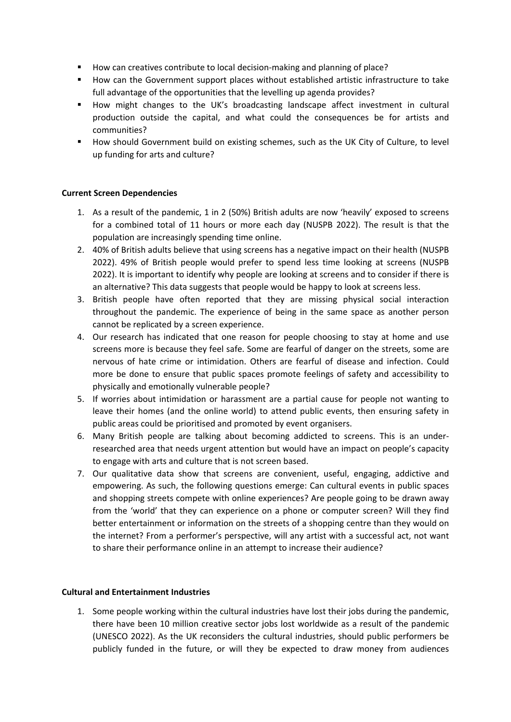- How can creatives contribute to local decision-making and planning of place?
- How can the Government support places without established artistic infrastructure to take full advantage of the opportunities that the levelling up agenda provides?
- How might changes to the UK's broadcasting landscape affect investment in cultural production outside the capital, and what could the consequences be for artists and communities?
- How should Government build on existing schemes, such as the UK City of Culture, to level up funding for arts and culture?

### **Current Screen Dependencies**

- 1. As a result of the pandemic, 1 in 2 (50%) British adults are now 'heavily' exposed to screens for a combined total of 11 hours or more each day (NUSPB 2022). The result is that the population are increasingly spending time online.
- 2. 40% of British adults believe that using screens has a negative impact on their health (NUSPB 2022). 49% of British people would prefer to spend less time looking at screens (NUSPB 2022). It is important to identify why people are looking at screens and to consider if there is an alternative? This data suggests that people would be happy to look at screens less.
- 3. British people have often reported that they are missing physical social interaction throughout the pandemic. The experience of being in the same space as another person cannot be replicated by a screen experience.
- 4. Our research has indicated that one reason for people choosing to stay at home and use screens more is because they feel safe. Some are fearful of danger on the streets, some are nervous of hate crime or intimidation. Others are fearful of disease and infection. Could more be done to ensure that public spaces promote feelings of safety and accessibility to physically and emotionally vulnerable people?
- 5. If worries about intimidation or harassment are a partial cause for people not wanting to leave their homes (and the online world) to attend public events, then ensuring safety in public areas could be prioritised and promoted by event organisers.
- 6. Many British people are talking about becoming addicted to screens. This is an underresearched area that needs urgent attention but would have an impact on people's capacity to engage with arts and culture that is not screen based.
- 7. Our qualitative data show that screens are convenient, useful, engaging, addictive and empowering. As such, the following questions emerge: Can cultural events in public spaces and shopping streets compete with online experiences? Are people going to be drawn away from the 'world' that they can experience on a phone or computer screen? Will they find better entertainment or information on the streets of a shopping centre than they would on the internet? From a performer's perspective, will any artist with a successful act, not want to share their performance online in an attempt to increase their audience?

#### **Cultural and Entertainment Industries**

1. Some people working within the cultural industries have lost their jobs during the pandemic, there have been 10 million creative sector jobs lost worldwide as a result of the pandemic (UNESCO 2022). As the UK reconsiders the cultural industries, should public performers be publicly funded in the future, or will they be expected to draw money from audiences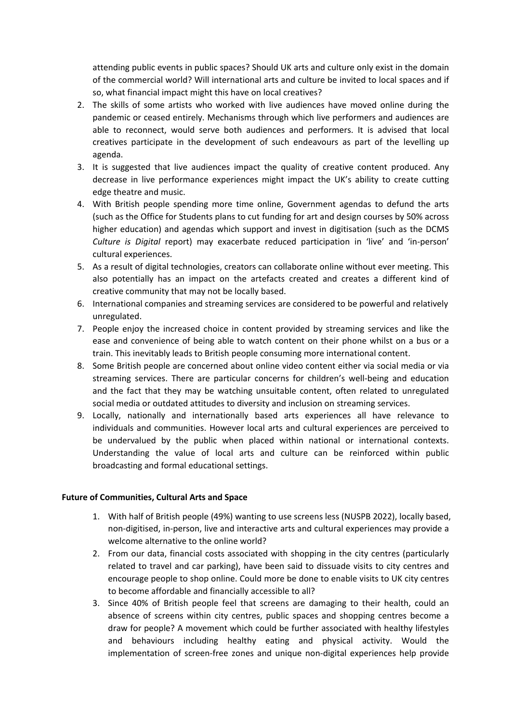attending public events in public spaces? Should UK arts and culture only exist in the domain of the commercial world? Will international arts and culture be invited to local spaces and if so, what financial impact might this have on local creatives?

- 2. The skills of some artists who worked with live audiences have moved online during the pandemic or ceased entirely. Mechanisms through which live performers and audiences are able to reconnect, would serve both audiences and performers. It is advised that local creatives participate in the development of such endeavours as part of the levelling up agenda.
- 3. It is suggested that live audiences impact the quality of creative content produced. Any decrease in live performance experiences might impact the UK's ability to create cutting edge theatre and music.
- 4. With British people spending more time online, Government agendas to defund the arts (such as the Office for Students plans to cut funding for art and design courses by 50% across higher education) and agendas which support and invest in digitisation (such as the DCMS *Culture is Digital* report) may exacerbate reduced participation in 'live' and 'in-person' cultural experiences.
- 5. As a result of digital technologies, creators can collaborate online without ever meeting. This also potentially has an impact on the artefacts created and creates a different kind of creative community that may not be locally based.
- 6. International companies and streaming services are considered to be powerful and relatively unregulated.
- 7. People enjoy the increased choice in content provided by streaming services and like the ease and convenience of being able to watch content on their phone whilst on a bus or a train. This inevitably leads to British people consuming more international content.
- 8. Some British people are concerned about online video content either via social media or via streaming services. There are particular concerns for children's well-being and education and the fact that they may be watching unsuitable content, often related to unregulated social media or outdated attitudes to diversity and inclusion on streaming services.
- 9. Locally, nationally and internationally based arts experiences all have relevance to individuals and communities. However local arts and cultural experiences are perceived to be undervalued by the public when placed within national or international contexts. Understanding the value of local arts and culture can be reinforced within public broadcasting and formal educational settings.

### **Future of Communities, Cultural Arts and Space**

- 1. With half of British people (49%) wanting to use screens less (NUSPB 2022), locally based, non-digitised, in-person, live and interactive arts and cultural experiences may provide a welcome alternative to the online world?
- 2. From our data, financial costs associated with shopping in the city centres (particularly related to travel and car parking), have been said to dissuade visits to city centres and encourage people to shop online. Could more be done to enable visits to UK city centres to become affordable and financially accessible to all?
- 3. Since 40% of British people feel that screens are damaging to their health, could an absence of screens within city centres, public spaces and shopping centres become a draw for people? A movement which could be further associated with healthy lifestyles and behaviours including healthy eating and physical activity. Would the implementation of screen-free zones and unique non-digital experiences help provide